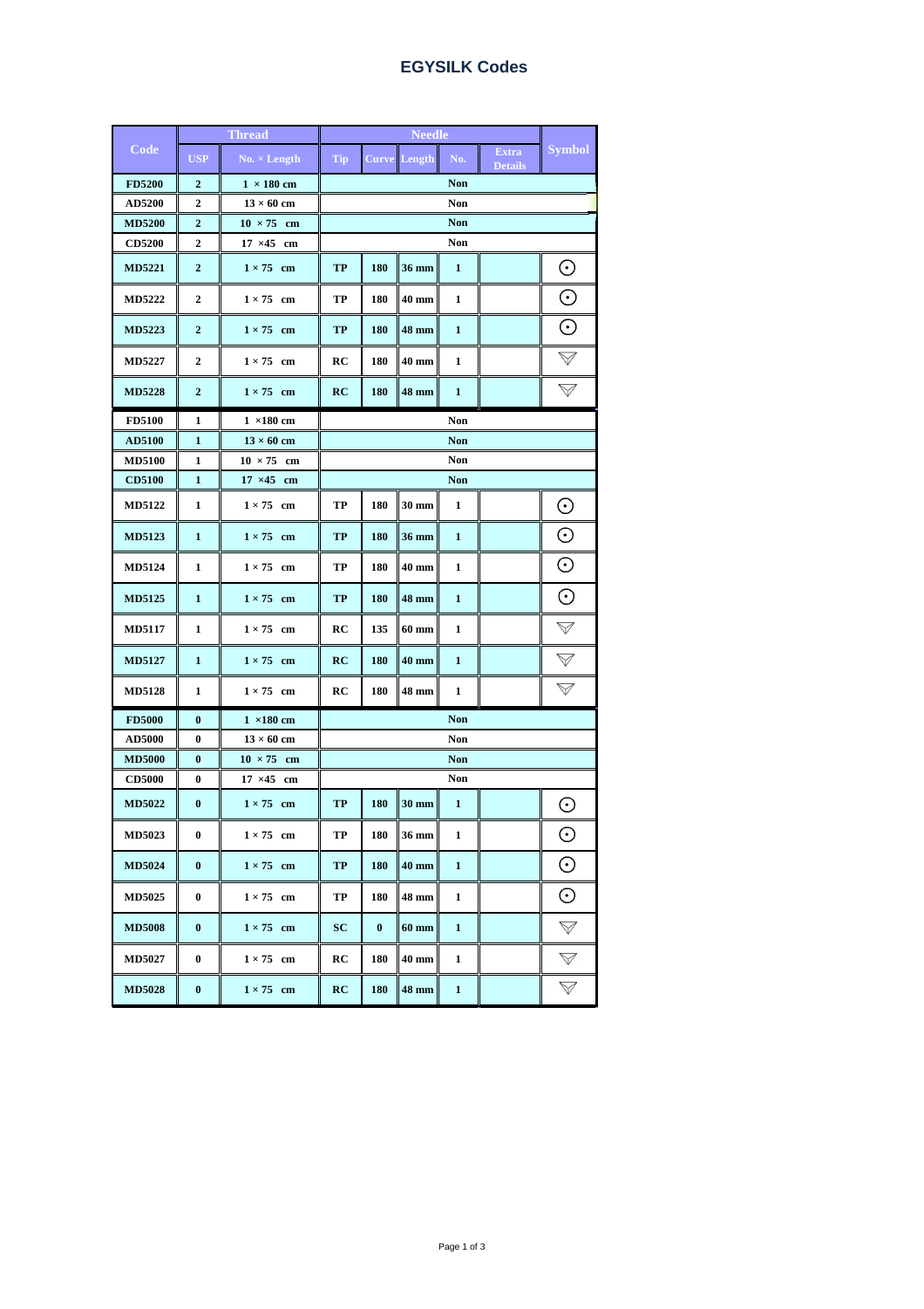| Code          | <b>Thread</b>    |                      | <b>Needle</b>          |          |                     |              |                                |                    |  |
|---------------|------------------|----------------------|------------------------|----------|---------------------|--------------|--------------------------------|--------------------|--|
|               | <b>USP</b>       | $No. \times Length$  | Tip                    |          | <b>Curve</b> Length | No.          | <b>Extra</b><br><b>Details</b> | <b>Symbol</b>      |  |
| <b>FD5200</b> | $\boldsymbol{2}$ | $1 \times 180$ cm    | <b>Non</b>             |          |                     |              |                                |                    |  |
| AD5200        | $\overline{2}$   | $13 \times 60$ cm    | Non                    |          |                     |              |                                |                    |  |
| <b>MD5200</b> | $\overline{2}$   | $10 \times 75$ cm    | <b>Non</b>             |          |                     |              |                                |                    |  |
| <b>CD5200</b> | 2                | $17 \times 45$<br>cm | Non                    |          |                     |              |                                |                    |  |
| <b>MD5221</b> | $\boldsymbol{2}$ | $1 \times 75$ cm     | <b>TP</b>              | 180      | 36 mm               | $\mathbf{1}$ |                                | $_{\odot}$         |  |
| <b>MD5222</b> | $\overline{2}$   | $1 \times 75$ cm     | TP                     | 180      | 40 mm               | 1            |                                | $_{\odot}$         |  |
| <b>MD5223</b> | $\boldsymbol{2}$ | $1 \times 75$ cm     | TP                     | 180      | 48 mm               | $\mathbf{1}$ |                                | $_{\odot}$         |  |
| <b>MD5227</b> | $\overline{2}$   | $1 \times 75$ cm     | RC                     | 180      | 40 mm               | 1            |                                | $\forall$          |  |
| <b>MD5228</b> | $\boldsymbol{2}$ | $1 \times 75$ cm     | RC                     | 180      | 48 mm               | $\mathbf{1}$ |                                | $\bigvee$          |  |
| <b>FD5100</b> | 1                | $1 \times 180$ cm    |                        |          |                     | <b>Non</b>   |                                |                    |  |
| AD5100        | $\mathbf{1}$     | $13 \times 60$ cm    | <b>Non</b>             |          |                     |              |                                |                    |  |
| <b>MD5100</b> | 1                | $10 \times 75$ cm    | Non                    |          |                     |              |                                |                    |  |
| <b>CD5100</b> | $\mathbf{1}$     | $17 \times 45$ cm    | <b>Non</b>             |          |                     |              |                                |                    |  |
| MD5122        | 1                | $1 \times 75$ cm     | TP                     | 180      | 30 mm               | $\mathbf{1}$ |                                | $_{\odot}$         |  |
| MD5123        | $\mathbf{1}$     | $1 \times 75$ cm     | <b>TP</b>              | 180      | 36 mm               | $\mathbf{1}$ |                                | $_{\odot}$         |  |
| <b>MD5124</b> | 1                | $1 \times 75$ cm     | TP                     | 180      | 40 mm               | 1            |                                | $_{\odot}$         |  |
| <b>MD5125</b> | $\mathbf{1}$     | $1 \times 75$ cm     | TP                     | 180      | 48 mm               | $\mathbf{1}$ |                                | $_{\odot}$         |  |
| <b>MD5117</b> | 1                | $1 \times 75$ cm     | RC                     | 135      | 60 mm               | 1            |                                | $\bigtriangledown$ |  |
| <b>MD5127</b> | $\mathbf{1}$     | $1 \times 75$ cm     | RC                     | 180      | 40 mm               | $\mathbf{1}$ |                                | $\bigtriangledown$ |  |
| <b>MD5128</b> | 1                | $1 \times 75$ cm     | RC                     | 180      | 48 mm               | 1            |                                | $\bigtriangledown$ |  |
| <b>FD5000</b> | $\bf{0}$         | $1 \times 180$ cm    |                        |          |                     | <b>Non</b>   |                                |                    |  |
| <b>AD5000</b> | 0                | $13 \times 60$ cm    | Non                    |          |                     |              |                                |                    |  |
| <b>MD5000</b> | $\bf{0}$         | $10 \times 75$ cm    | <b>Non</b>             |          |                     |              |                                |                    |  |
| <b>CD5000</b> | 0                | $17 \times 45$ cm    | Non                    |          |                     |              |                                |                    |  |
| <b>MD5022</b> | $\bf{0}$         | $1 \times 75$ cm     | TP                     | 180      | 30 mm               | 1            |                                | $_{\odot}$         |  |
| <b>MD5023</b> | 0                | $1 \times 75$ cm     | $\mathbf{T}\mathbf{P}$ | 180      | $36~\mathrm{mm}$    | $\mathbf{1}$ |                                | $_{\odot}$         |  |
| <b>MD5024</b> | $\bf{0}$         | $1 \times 75$ cm     | TP                     | 180      | 40 mm               | $\mathbf{1}$ |                                | $_{\odot}$         |  |
| <b>MD5025</b> | $\bf{0}$         | $1 \times 75$ cm     | TP                     | 180      | 48 mm               | $\mathbf{1}$ |                                | $_{\odot}$         |  |
| <b>MD5008</b> | $\bf{0}$         | $1 \times 75$ cm     | SC                     | $\bf{0}$ | $60$ mm             | $\mathbf{1}$ |                                | $\bigtriangledown$ |  |
| <b>MD5027</b> | $\bf{0}$         | $1 \times 75$ cm     | RC                     | 180      | 40 mm               | 1            |                                | $\bigtriangledown$ |  |
| <b>MD5028</b> | $\boldsymbol{0}$ | $1 \times 75$ cm     | RC                     | 180      | 48 mm               | $\mathbf{1}$ |                                | $\bigtriangledown$ |  |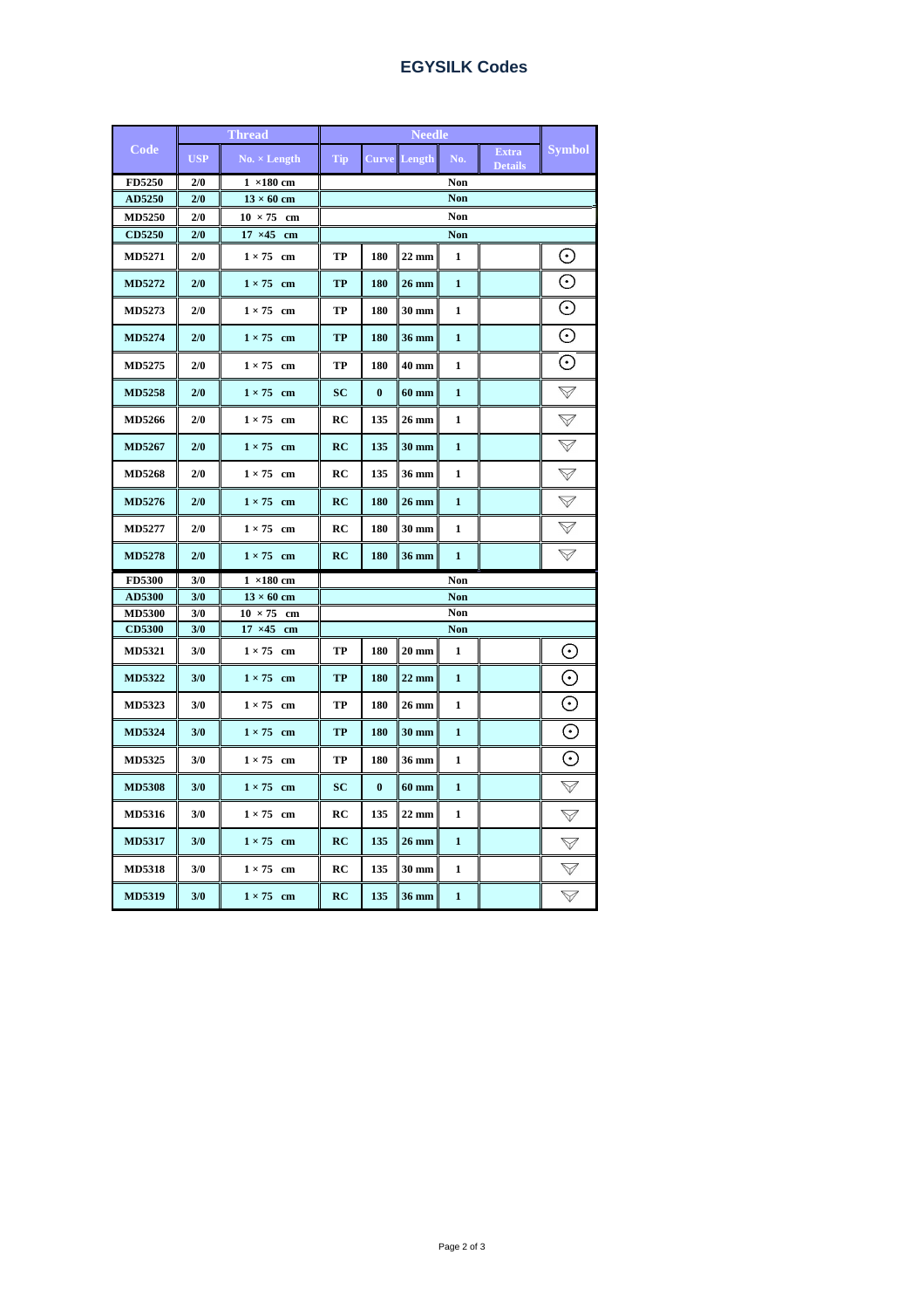| Code          | <b>Thread</b> |                      | <b>Needle</b> |          |                     |              |                                |                    |  |
|---------------|---------------|----------------------|---------------|----------|---------------------|--------------|--------------------------------|--------------------|--|
|               | <b>USP</b>    | $No. \times Length$  | Tip           |          | <b>Curve</b> Length | No.          | <b>Extra</b><br><b>Details</b> | <b>Symbol</b>      |  |
| FD5250        | 2/0           | $1 \times 180$ cm    | Non           |          |                     |              |                                |                    |  |
| AD5250        | 2/0           | $13 \times 60$ cm    | <b>Non</b>    |          |                     |              |                                |                    |  |
| <b>MD5250</b> | 2/0           | $10 \times 75$<br>cm | Non           |          |                     |              |                                |                    |  |
| <b>CD5250</b> | 2/0           | $17 \times 45$<br>cm | <b>Non</b>    |          |                     |              |                                |                    |  |
| MD5271        | 2/0           | $1 \times 75$ cm     | TP            | 180      | $22 \text{ mm}$     | 1            |                                | $_{\odot}$         |  |
| MD5272        | 2/0           | $1 \times 75$ cm     | TP            | 180      | 26 mm               | $\mathbf{1}$ |                                | $_{\odot}$         |  |
| MD5273        | 2/0           | $1 \times 75$ cm     | TP            | 180      | 30 mm               | 1            |                                | $\odot$            |  |
| MD5274        | 2/0           | $1 \times 75$ cm     | TP            | 180      | 36 mm               | $\mathbf{1}$ |                                | $\odot$            |  |
| MD5275        | 2/0           | $1 \times 75$ cm     | TP            | 180      | 40 mm               | 1            |                                | $_{\odot}$         |  |
| <b>MD5258</b> | 2/0           | $1 \times 75$ cm     | SC            | $\bf{0}$ | <b>60 mm</b>        | 1            |                                | $\mathbb V$        |  |
| MD5266        | 2/0           | $1 \times 75$ cm     | RC            | 135      | 26 mm               | 1            |                                | $\bigtriangledown$ |  |
| MD5267        | 2/0           | $1 \times 75$ cm     | RC            | 135      | 30 mm               | $\mathbf{1}$ |                                | $\bigvee$          |  |
| <b>MD5268</b> | 2/0           | $1 \times 75$ cm     | RC            | 135      | 36 mm               | 1            |                                | $\bigtriangledown$ |  |
| MD5276        | 2/0           | $1 \times 75$ cm     | RC            | 180      | 26 mm               | 1            |                                | $\bigvee$          |  |
| MD5277        | 2/0           | $1 \times 75$ cm     | RC            | 180      | 30 mm               | 1            |                                | $\bigtriangledown$ |  |
| <b>MD5278</b> | 2/0           | $1 \times 75$ cm     | RC            | 180      | 36 mm               | 1            |                                | $\forall$          |  |
| <b>FD5300</b> | 3/0           | $1 \times 180$ cm    | Non           |          |                     |              |                                |                    |  |
| AD5300        | 3/0           | $13 \times 60$ cm    | <b>Non</b>    |          |                     |              |                                |                    |  |
| <b>MD5300</b> | 3/0           | $10 \times 75$<br>cm | Non           |          |                     |              |                                |                    |  |
| <b>CD5300</b> | 3/0           | $17 \times 45$ cm    | <b>Non</b>    |          |                     |              |                                |                    |  |
| <b>MD5321</b> | 3/0           | $1 \times 75$ cm     | TP            | 180      | $20 \text{ mm}$     | 1            |                                | $_{\odot}$         |  |
| <b>MD5322</b> | 3/0           | $1 \times 75$ cm     | TP            | 180      | $22 \text{ mm}$     | 1            |                                | $_{\odot}$         |  |
| MD5323        | 3/0           | $1 \times 75$ cm     | TP            | 180      | 26 mm               | 1            |                                | $_{\odot}$         |  |
| <b>MD5324</b> | 3/0           | $1 \times 75$ cm     | <b>TP</b>     | 180      | 30 mm               | $\mathbf{1}$ |                                | $_{\odot}$         |  |
| MD5325        | 3/0           | $1 \times 75$ cm     | TP            | 180      | 36 mm               | 1            |                                | ⊙                  |  |
| <b>MD5308</b> | 3/0           | $1 \times 75$ cm     | SC            | $\bf{0}$ | 60 mm               | 1            |                                | $\bigvee$          |  |
| MD5316        | 3/0           | $1 \times 75$ cm     | RC            | 135      | 22 mm               | 1            |                                | $\bigtriangledown$ |  |
| <b>MD5317</b> | 3/0           | $1 \times 75$ cm     | RC            | 135      | 26 mm               | 1            |                                | $\bigvee$          |  |
| <b>MD5318</b> | 3/0           | $1 \times 75$ cm     | RC            | 135      | 30 mm               | 1            |                                | $\bigvee$          |  |
| <b>MD5319</b> | 3/0           | $1 \times 75$ cm     | RC            | 135      | 36 mm               | 1            |                                | $\bigtriangledown$ |  |